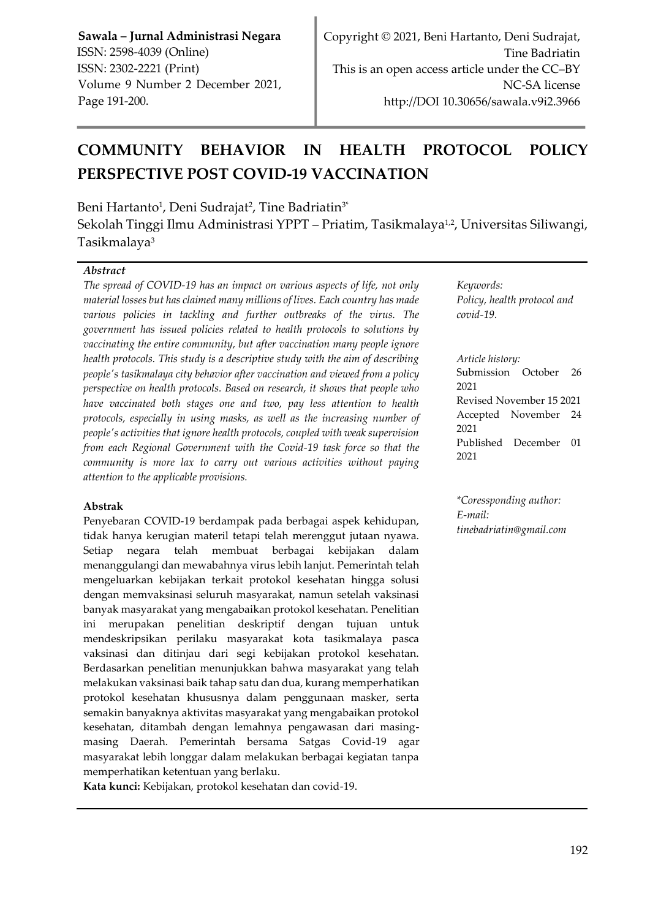# **COMMUNITY BEHAVIOR IN HEALTH PROTOCOL POLICY PERSPECTIVE POST COVID-19 VACCINATION**

Beni Hartanto<sup>1</sup>, Deni Sudrajat<sup>2</sup>, Tine Badriatin<sup>3</sup>\*

Sekolah Tinggi Ilmu Administrasi YPPT – Priatim, Tasikmalaya½, Universitas Siliwangi, Tasikmalaya<sup>3</sup>

#### *Abstract*

*The spread of COVID-19 has an impact on various aspects of life, not only material losses but has claimed many millions of lives. Each country has made various policies in tackling and further outbreaks of the virus. The government has issued policies related to health protocols to solutions by vaccinating the entire community, but after vaccination many people ignore health protocols. This study is a descriptive study with the aim of describing people's tasikmalaya city behavior after vaccination and viewed from a policy perspective on health protocols. Based on research, it shows that people who have vaccinated both stages one and two, pay less attention to health protocols, especially in using masks, as well as the increasing number of people's activities that ignore health protocols, coupled with weak supervision from each Regional Government with the Covid-19 task force so that the community is more lax to carry out various activities without paying attention to the applicable provisions.*

#### **Abstrak**

Penyebaran COVID-19 berdampak pada berbagai aspek kehidupan, tidak hanya kerugian materil tetapi telah merenggut jutaan nyawa. Setiap negara telah membuat berbagai kebijakan dalam menanggulangi dan mewabahnya virus lebih lanjut. Pemerintah telah mengeluarkan kebijakan terkait protokol kesehatan hingga solusi dengan memvaksinasi seluruh masyarakat, namun setelah vaksinasi banyak masyarakat yang mengabaikan protokol kesehatan. Penelitian ini merupakan penelitian deskriptif dengan tujuan untuk mendeskripsikan perilaku masyarakat kota tasikmalaya pasca vaksinasi dan ditinjau dari segi kebijakan protokol kesehatan. Berdasarkan penelitian menunjukkan bahwa masyarakat yang telah melakukan vaksinasi baik tahap satu dan dua, kurang memperhatikan protokol kesehatan khususnya dalam penggunaan masker, serta semakin banyaknya aktivitas masyarakat yang mengabaikan protokol kesehatan, ditambah dengan lemahnya pengawasan dari masingmasing Daerah. Pemerintah bersama Satgas Covid-19 agar masyarakat lebih longgar dalam melakukan berbagai kegiatan tanpa memperhatikan ketentuan yang berlaku.

**Kata kunci:** Kebijakan, protokol kesehatan dan covid-19.

*Keywords: Policy, health protocol and covid-19.*

*Article history:*

Submission October 26 2021 Revised November 15 2021 Accepted November 24 2021 Published December 01 2021

*\*Coressponding author: E-mail: [tinebadriatin@gmail.com](mailto:tinebadriatin@gmail.com)*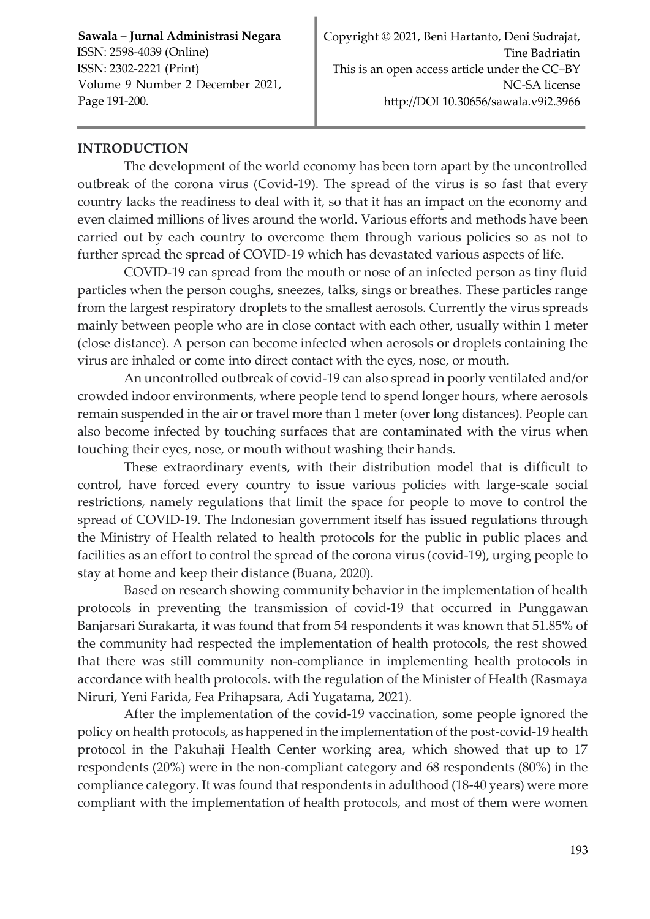# **INTRODUCTION**

The development of the world economy has been torn apart by the uncontrolled outbreak of the corona virus (Covid-19). The spread of the virus is so fast that every country lacks the readiness to deal with it, so that it has an impact on the economy and even claimed millions of lives around the world. Various efforts and methods have been carried out by each country to overcome them through various policies so as not to further spread the spread of COVID-19 which has devastated various aspects of life.

COVID-19 can spread from the mouth or nose of an infected person as tiny fluid particles when the person coughs, sneezes, talks, sings or breathes. These particles range from the largest respiratory droplets to the smallest aerosols. Currently the virus spreads mainly between people who are in close contact with each other, usually within 1 meter (close distance). A person can become infected when aerosols or droplets containing the virus are inhaled or come into direct contact with the eyes, nose, or mouth.

An uncontrolled outbreak of covid-19 can also spread in poorly ventilated and/or crowded indoor environments, where people tend to spend longer hours, where aerosols remain suspended in the air or travel more than 1 meter (over long distances). People can also become infected by touching surfaces that are contaminated with the virus when touching their eyes, nose, or mouth without washing their hands.

These extraordinary events, with their distribution model that is difficult to control, have forced every country to issue various policies with large-scale social restrictions, namely regulations that limit the space for people to move to control the spread of COVID-19. The Indonesian government itself has issued regulations through the Ministry of Health related to health protocols for the public in public places and facilities as an effort to control the spread of the corona virus (covid-19), urging people to stay at home and keep their distance (Buana, 2020).

Based on research showing community behavior in the implementation of health protocols in preventing the transmission of covid-19 that occurred in Punggawan Banjarsari Surakarta, it was found that from 54 respondents it was known that 51.85% of the community had respected the implementation of health protocols, the rest showed that there was still community non-compliance in implementing health protocols in accordance with health protocols. with the regulation of the Minister of Health (Rasmaya Niruri, Yeni Farida, Fea Prihapsara, Adi Yugatama, 2021).

After the implementation of the covid-19 vaccination, some people ignored the policy on health protocols, as happened in the implementation of the post-covid-19 health protocol in the Pakuhaji Health Center working area, which showed that up to 17 respondents (20%) were in the non-compliant category and 68 respondents (80%) in the compliance category. It was found that respondents in adulthood (18-40 years) were more compliant with the implementation of health protocols, and most of them were women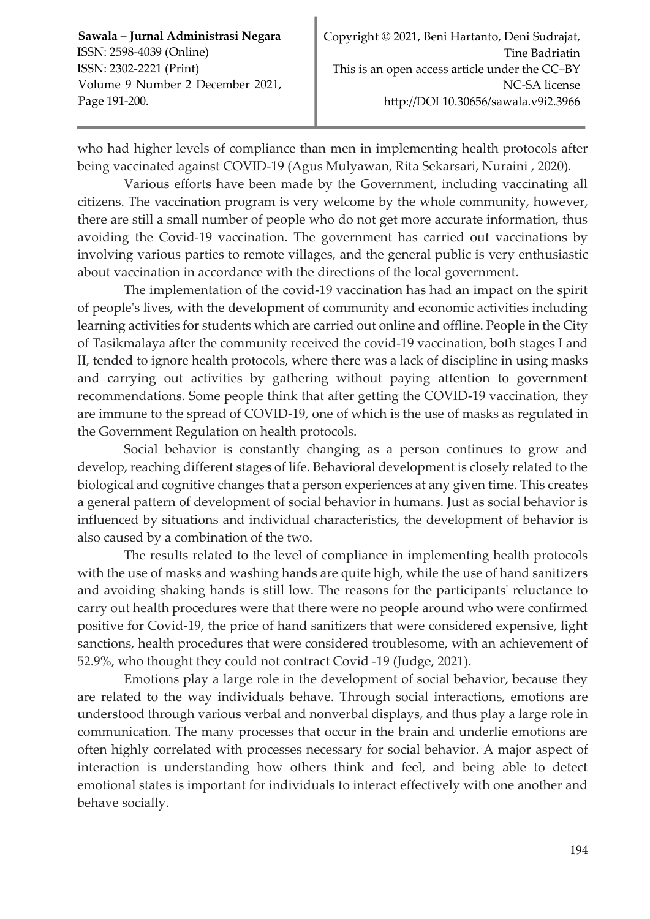who had higher levels of compliance than men in implementing health protocols after being vaccinated against COVID-19 (Agus Mulyawan, Rita Sekarsari, Nuraini , 2020).

Various efforts have been made by the Government, including vaccinating all citizens. The vaccination program is very welcome by the whole community, however, there are still a small number of people who do not get more accurate information, thus avoiding the Covid-19 vaccination. The government has carried out vaccinations by involving various parties to remote villages, and the general public is very enthusiastic about vaccination in accordance with the directions of the local government.

The implementation of the covid-19 vaccination has had an impact on the spirit of people's lives, with the development of community and economic activities including learning activities for students which are carried out online and offline. People in the City of Tasikmalaya after the community received the covid-19 vaccination, both stages I and II, tended to ignore health protocols, where there was a lack of discipline in using masks and carrying out activities by gathering without paying attention to government recommendations. Some people think that after getting the COVID-19 vaccination, they are immune to the spread of COVID-19, one of which is the use of masks as regulated in the Government Regulation on health protocols.

Social behavior is constantly changing as a person continues to grow and develop, reaching different stages of life. Behavioral development is closely related to the biological and cognitive changes that a person experiences at any given time. This creates a general pattern of development of social behavior in humans. Just as social behavior is influenced by situations and individual characteristics, the development of behavior is also caused by a combination of the two.

The results related to the level of compliance in implementing health protocols with the use of masks and washing hands are quite high, while the use of hand sanitizers and avoiding shaking hands is still low. The reasons for the participants' reluctance to carry out health procedures were that there were no people around who were confirmed positive for Covid-19, the price of hand sanitizers that were considered expensive, light sanctions, health procedures that were considered troublesome, with an achievement of 52.9%, who thought they could not contract Covid -19 (Judge, 2021).

Emotions play a large role in the development of social behavior, because they are related to the way individuals behave. Through social interactions, emotions are understood through various verbal and nonverbal displays, and thus play a large role in communication. The many processes that occur in the brain and underlie emotions are often highly correlated with processes necessary for social behavior. A major aspect of interaction is understanding how others think and feel, and being able to detect emotional states is important for individuals to interact effectively with one another and behave socially.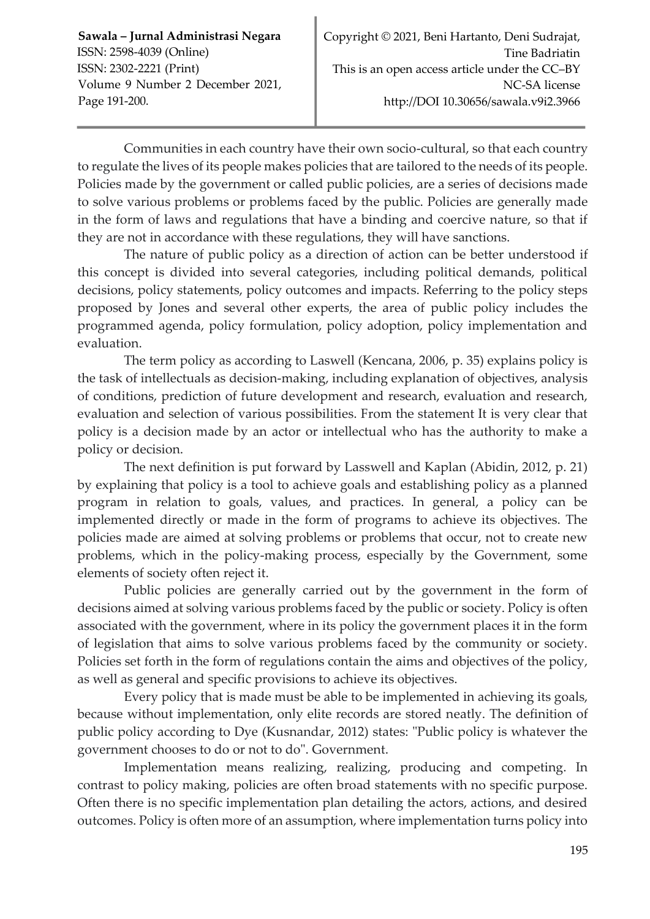Communities in each country have their own socio-cultural, so that each country to regulate the lives of its people makes policies that are tailored to the needs of its people. Policies made by the government or called public policies, are a series of decisions made to solve various problems or problems faced by the public. Policies are generally made in the form of laws and regulations that have a binding and coercive nature, so that if they are not in accordance with these regulations, they will have sanctions.

The nature of public policy as a direction of action can be better understood if this concept is divided into several categories, including political demands, political decisions, policy statements, policy outcomes and impacts. Referring to the policy steps proposed by Jones and several other experts, the area of public policy includes the programmed agenda, policy formulation, policy adoption, policy implementation and evaluation.

The term policy as according to Laswell (Kencana, 2006, p. 35) explains policy is the task of intellectuals as decision-making, including explanation of objectives, analysis of conditions, prediction of future development and research, evaluation and research, evaluation and selection of various possibilities. From the statement It is very clear that policy is a decision made by an actor or intellectual who has the authority to make a policy or decision.

The next definition is put forward by Lasswell and Kaplan (Abidin, 2012, p. 21) by explaining that policy is a tool to achieve goals and establishing policy as a planned program in relation to goals, values, and practices. In general, a policy can be implemented directly or made in the form of programs to achieve its objectives. The policies made are aimed at solving problems or problems that occur, not to create new problems, which in the policy-making process, especially by the Government, some elements of society often reject it.

Public policies are generally carried out by the government in the form of decisions aimed at solving various problems faced by the public or society. Policy is often associated with the government, where in its policy the government places it in the form of legislation that aims to solve various problems faced by the community or society. Policies set forth in the form of regulations contain the aims and objectives of the policy, as well as general and specific provisions to achieve its objectives.

Every policy that is made must be able to be implemented in achieving its goals, because without implementation, only elite records are stored neatly. The definition of public policy according to Dye (Kusnandar, 2012) states: "Public policy is whatever the government chooses to do or not to do". Government.

Implementation means realizing, realizing, producing and competing. In contrast to policy making, policies are often broad statements with no specific purpose. Often there is no specific implementation plan detailing the actors, actions, and desired outcomes. Policy is often more of an assumption, where implementation turns policy into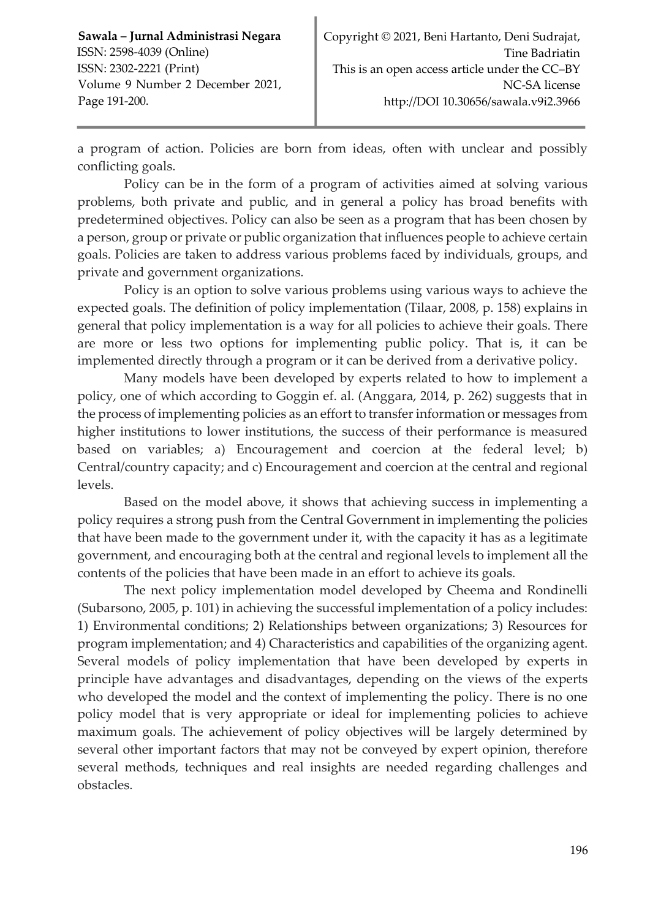a program of action. Policies are born from ideas, often with unclear and possibly conflicting goals.

Policy can be in the form of a program of activities aimed at solving various problems, both private and public, and in general a policy has broad benefits with predetermined objectives. Policy can also be seen as a program that has been chosen by a person, group or private or public organization that influences people to achieve certain goals. Policies are taken to address various problems faced by individuals, groups, and private and government organizations.

Policy is an option to solve various problems using various ways to achieve the expected goals. The definition of policy implementation (Tilaar, 2008, p. 158) explains in general that policy implementation is a way for all policies to achieve their goals. There are more or less two options for implementing public policy. That is, it can be implemented directly through a program or it can be derived from a derivative policy.

Many models have been developed by experts related to how to implement a policy, one of which according to Goggin ef. al. (Anggara, 2014, p. 262) suggests that in the process of implementing policies as an effort to transfer information or messages from higher institutions to lower institutions, the success of their performance is measured based on variables; a) Encouragement and coercion at the federal level; b) Central/country capacity; and c) Encouragement and coercion at the central and regional levels.

Based on the model above, it shows that achieving success in implementing a policy requires a strong push from the Central Government in implementing the policies that have been made to the government under it, with the capacity it has as a legitimate government, and encouraging both at the central and regional levels to implement all the contents of the policies that have been made in an effort to achieve its goals.

The next policy implementation model developed by Cheema and Rondinelli (Subarsono, 2005, p. 101) in achieving the successful implementation of a policy includes: 1) Environmental conditions; 2) Relationships between organizations; 3) Resources for program implementation; and 4) Characteristics and capabilities of the organizing agent. Several models of policy implementation that have been developed by experts in principle have advantages and disadvantages, depending on the views of the experts who developed the model and the context of implementing the policy. There is no one policy model that is very appropriate or ideal for implementing policies to achieve maximum goals. The achievement of policy objectives will be largely determined by several other important factors that may not be conveyed by expert opinion, therefore several methods, techniques and real insights are needed regarding challenges and obstacles.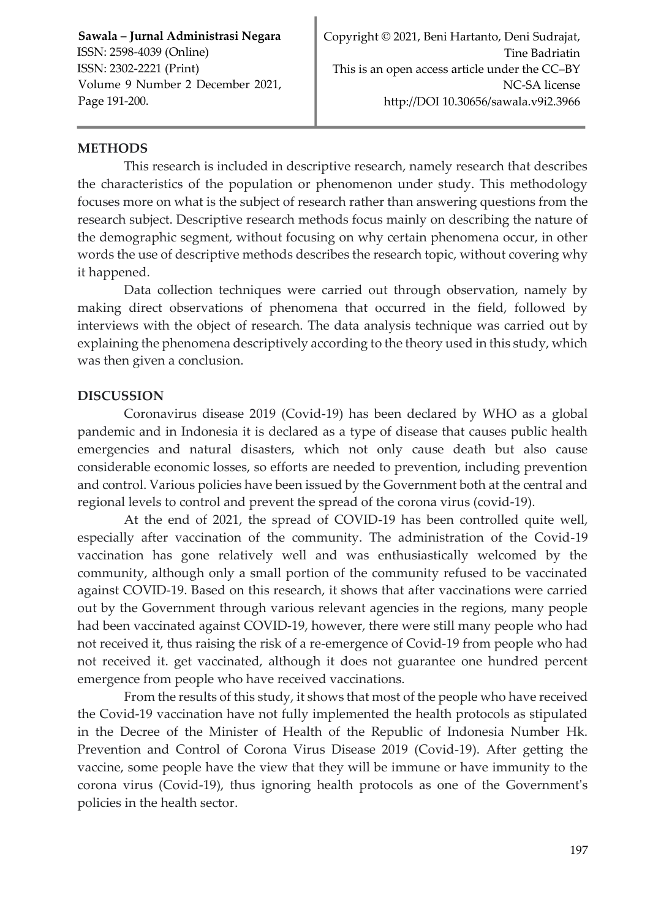## **METHODS**

This research is included in descriptive research, namely research that describes the characteristics of the population or phenomenon under study. This methodology focuses more on what is the subject of research rather than answering questions from the research subject. Descriptive research methods focus mainly on describing the nature of the demographic segment, without focusing on why certain phenomena occur, in other words the use of descriptive methods describes the research topic, without covering why it happened.

Data collection techniques were carried out through observation, namely by making direct observations of phenomena that occurred in the field, followed by interviews with the object of research. The data analysis technique was carried out by explaining the phenomena descriptively according to the theory used in this study, which was then given a conclusion.

### **DISCUSSION**

Coronavirus disease 2019 (Covid-19) has been declared by WHO as a global pandemic and in Indonesia it is declared as a type of disease that causes public health emergencies and natural disasters, which not only cause death but also cause considerable economic losses, so efforts are needed to prevention, including prevention and control. Various policies have been issued by the Government both at the central and regional levels to control and prevent the spread of the corona virus (covid-19).

At the end of 2021, the spread of COVID-19 has been controlled quite well, especially after vaccination of the community. The administration of the Covid-19 vaccination has gone relatively well and was enthusiastically welcomed by the community, although only a small portion of the community refused to be vaccinated against COVID-19. Based on this research, it shows that after vaccinations were carried out by the Government through various relevant agencies in the regions, many people had been vaccinated against COVID-19, however, there were still many people who had not received it, thus raising the risk of a re-emergence of Covid-19 from people who had not received it. get vaccinated, although it does not guarantee one hundred percent emergence from people who have received vaccinations.

From the results of this study, it shows that most of the people who have received the Covid-19 vaccination have not fully implemented the health protocols as stipulated in the Decree of the Minister of Health of the Republic of Indonesia Number Hk. Prevention and Control of Corona Virus Disease 2019 (Covid-19). After getting the vaccine, some people have the view that they will be immune or have immunity to the corona virus (Covid-19), thus ignoring health protocols as one of the Government's policies in the health sector.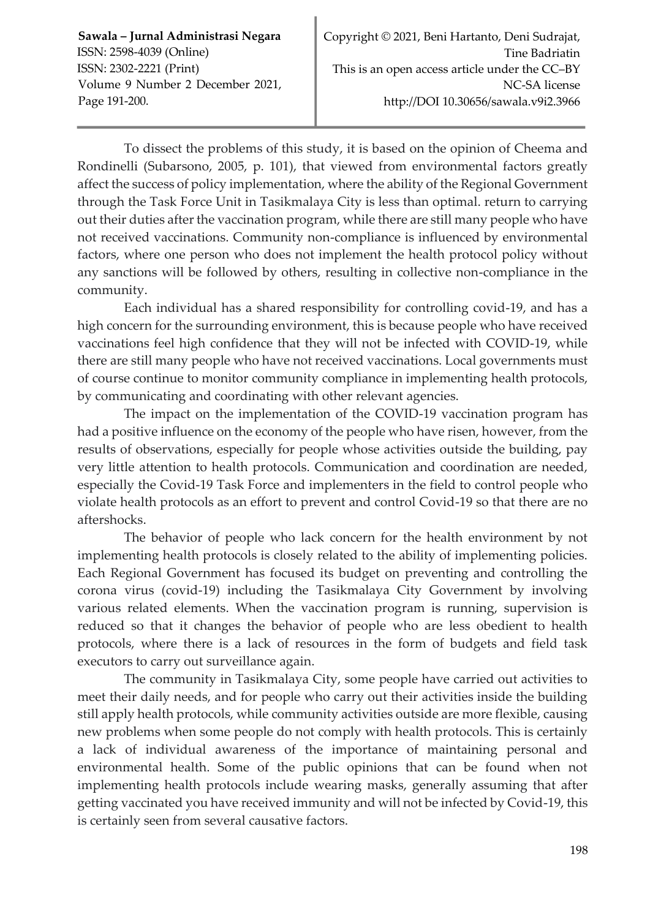To dissect the problems of this study, it is based on the opinion of Cheema and Rondinelli (Subarsono, 2005, p. 101), that viewed from environmental factors greatly affect the success of policy implementation, where the ability of the Regional Government through the Task Force Unit in Tasikmalaya City is less than optimal. return to carrying out their duties after the vaccination program, while there are still many people who have not received vaccinations. Community non-compliance is influenced by environmental factors, where one person who does not implement the health protocol policy without any sanctions will be followed by others, resulting in collective non-compliance in the community.

Each individual has a shared responsibility for controlling covid-19, and has a high concern for the surrounding environment, this is because people who have received vaccinations feel high confidence that they will not be infected with COVID-19, while there are still many people who have not received vaccinations. Local governments must of course continue to monitor community compliance in implementing health protocols, by communicating and coordinating with other relevant agencies.

The impact on the implementation of the COVID-19 vaccination program has had a positive influence on the economy of the people who have risen, however, from the results of observations, especially for people whose activities outside the building, pay very little attention to health protocols. Communication and coordination are needed, especially the Covid-19 Task Force and implementers in the field to control people who violate health protocols as an effort to prevent and control Covid-19 so that there are no aftershocks.

The behavior of people who lack concern for the health environment by not implementing health protocols is closely related to the ability of implementing policies. Each Regional Government has focused its budget on preventing and controlling the corona virus (covid-19) including the Tasikmalaya City Government by involving various related elements. When the vaccination program is running, supervision is reduced so that it changes the behavior of people who are less obedient to health protocols, where there is a lack of resources in the form of budgets and field task executors to carry out surveillance again.

The community in Tasikmalaya City, some people have carried out activities to meet their daily needs, and for people who carry out their activities inside the building still apply health protocols, while community activities outside are more flexible, causing new problems when some people do not comply with health protocols. This is certainly a lack of individual awareness of the importance of maintaining personal and environmental health. Some of the public opinions that can be found when not implementing health protocols include wearing masks, generally assuming that after getting vaccinated you have received immunity and will not be infected by Covid-19, this is certainly seen from several causative factors.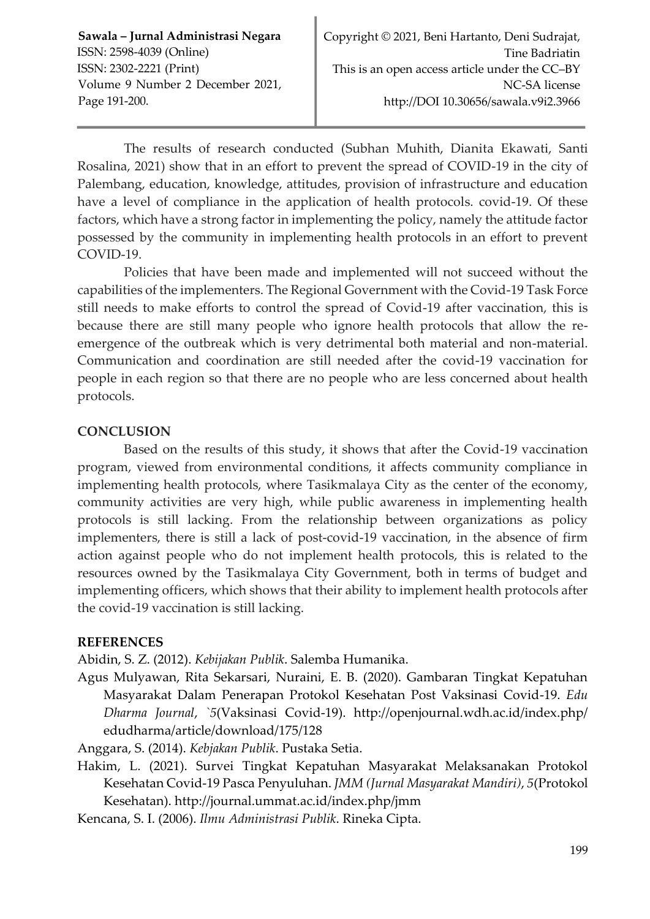The results of research conducted (Subhan Muhith, Dianita Ekawati, Santi Rosalina, 2021) show that in an effort to prevent the spread of COVID-19 in the city of Palembang, education, knowledge, attitudes, provision of infrastructure and education have a level of compliance in the application of health protocols. covid-19. Of these factors, which have a strong factor in implementing the policy, namely the attitude factor possessed by the community in implementing health protocols in an effort to prevent COVID-19.

Policies that have been made and implemented will not succeed without the capabilities of the implementers. The Regional Government with the Covid-19 Task Force still needs to make efforts to control the spread of Covid-19 after vaccination, this is because there are still many people who ignore health protocols that allow the reemergence of the outbreak which is very detrimental both material and non-material. Communication and coordination are still needed after the covid-19 vaccination for people in each region so that there are no people who are less concerned about health protocols.

# **CONCLUSION**

Based on the results of this study, it shows that after the Covid-19 vaccination program, viewed from environmental conditions, it affects community compliance in implementing health protocols, where Tasikmalaya City as the center of the economy, community activities are very high, while public awareness in implementing health protocols is still lacking. From the relationship between organizations as policy implementers, there is still a lack of post-covid-19 vaccination, in the absence of firm action against people who do not implement health protocols, this is related to the resources owned by the Tasikmalaya City Government, both in terms of budget and implementing officers, which shows that their ability to implement health protocols after the covid-19 vaccination is still lacking.

## **REFERENCES**

Abidin, S. Z. (2012). *Kebijakan Publik*. Salemba Humanika.

Agus Mulyawan, Rita Sekarsari, Nuraini, E. B. (2020). Gambaran Tingkat Kepatuhan Masyarakat Dalam Penerapan Protokol Kesehatan Post Vaksinasi Covid-19. *Edu Dharma Journal*, *`5*(Vaksinasi Covid-19). http://openjournal.wdh.ac.id/index.php/ edudharma/article/download/175/128

Anggara, S. (2014). *Kebjakan Publik*. Pustaka Setia.

- Hakim, L. (2021). Survei Tingkat Kepatuhan Masyarakat Melaksanakan Protokol Kesehatan Covid-19 Pasca Penyuluhan. *JMM (Jurnal Masyarakat Mandiri)*, *5*(Protokol Kesehatan). http://journal.ummat.ac.id/index.php/jmm
- Kencana, S. I. (2006). *Ilmu Administrasi Publik*. Rineka Cipta.